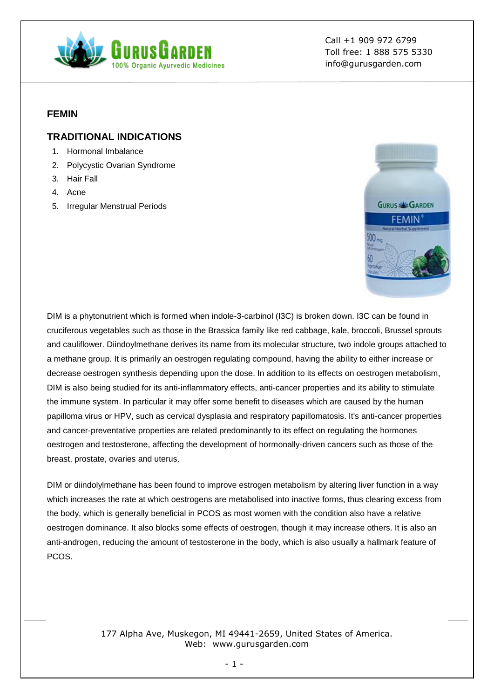

Call +1 909 972 6799 Toll free: 1 888 575 5330 info@gurusgarden.com

#### **FEMIN**

### **TRADITIONAL INDICATIONS**

- 1. Hormonal Imbalance
- 2. Polycystic Ovarian Syndrome
- 3. Hair Fall
- 4. Acne
- 5. Irregular Menstrual Periods



DIM is a phytonutrient which is formed when indole-3-carbinol (I3C) is broken down. I3C can be found in cruciferous vegetables such as those in the Brassica family like red cabbage, kale, broccoli, Brussel sprouts and cauliflower. Diindoylmethane derives its name from its molecular structure, two indole groups attached to a methane group. It is primarily an oestrogen regulating compound, having the ability to either increase or decrease oestrogen synthesis depending upon the dose. In addition to its effects on oestrogen metabolism, DIM is also being studied for its anti-inflammatory effects, anti-cancer properties and its ability to stimulate the immune system. In particular it may offer some benefit to diseases which are caused by the human papilloma virus or HPV, such as cervical dysplasia and respiratory papillomatosis. It's anti-cancer properties and cancer-preventative properties are related predominantly to its effect on regulating the hormones oestrogen and testosterone, affecting the development of hormonally-driven cancers such as those of the breast, prostate, ovaries and uterus.

DIM or diindolylmethane has been found to improve estrogen metabolism by altering liver function in a way which increases the rate at which oestrogens are metabolised into inactive forms, thus clearing excess from the body, which is generally beneficial in PCOS as most women with the condition also have a relative oestrogen dominance. It also blocks some effects of oestrogen, though it may increase others. It is also an anti-androgen, reducing the amount of testosterone in the body, which is also usually a hallmark feature of PCOS.

> 177 Alpha Ave, Muskegon, MI 49441-2659, United States of America. Web: www.gurusgarden.com